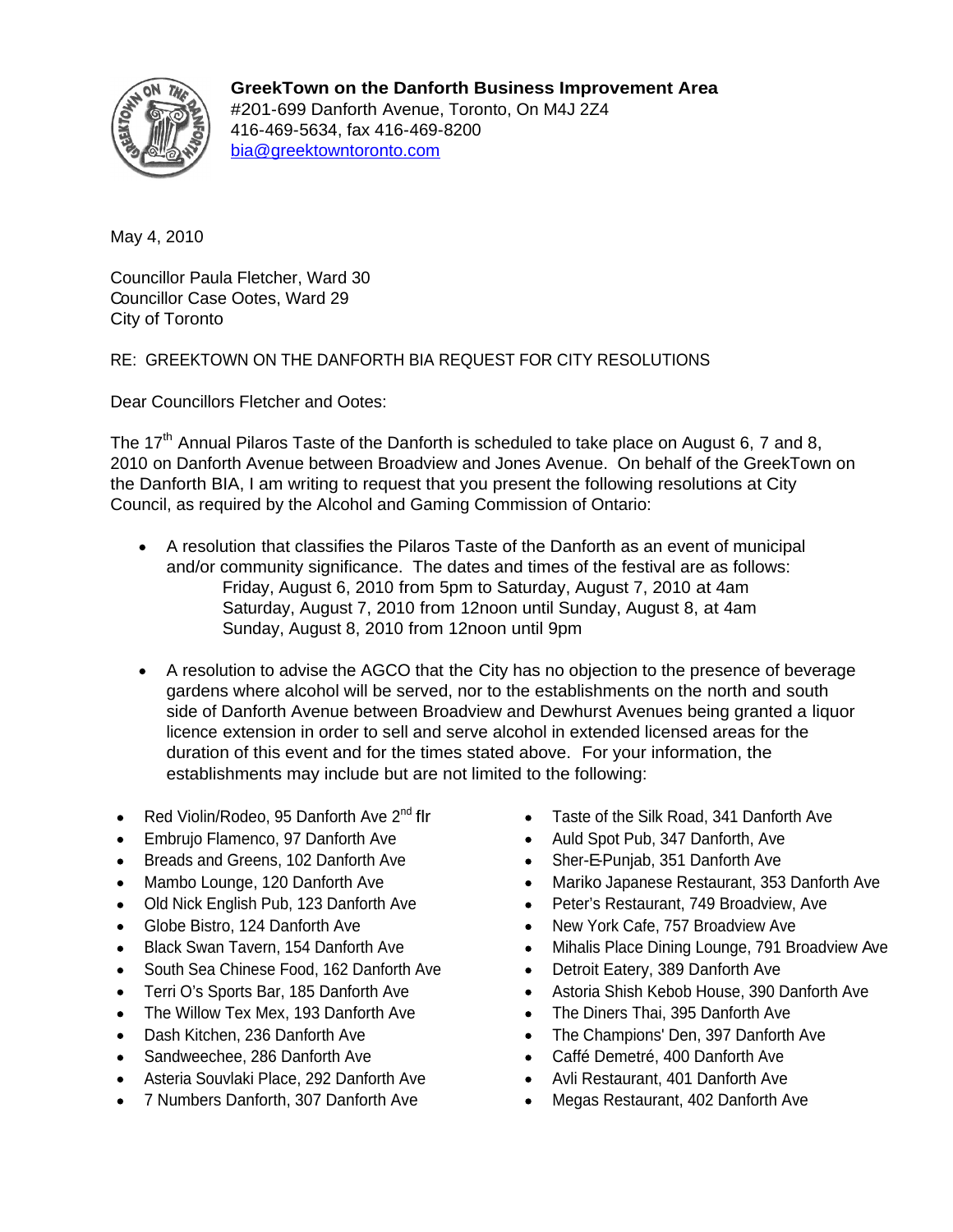

**GreekTown on the Danforth Business Improvement Area** #201-699 Danforth Avenue, Toronto, On M4J 2Z4 416-469-5634, fax 416-469-8200 bia@greektowntoronto.com

May 4, 2010

Councillor Paula Fletcher, Ward 30 Councillor Case Ootes, Ward 29 City of Toronto

RE: GREEKTOWN ON THE DANFORTH BIA REQUEST FOR CITY RESOLUTIONS

Dear Councillors Fletcher and Ootes:

The 17<sup>th</sup> Annual Pilaros Taste of the Danforth is scheduled to take place on August 6, 7 and 8,<br>2010 on Danforth Avenue between Broadview and Jones Avenue. On behalf of the GreekTown on the Danforth BIA, I am writing to request that you present the following resolutions at City Council, as required by the Alcohol and Gaming Commission of Ontario:

- A resolution that classifies the Pilaros Taste of the Danforth as an event of municipal and/or community significance. The dates and times of the festival are as follows: Friday, August 6, 2010 from 5pm to Saturday, August 7, 2010 at 4am Saturday, August 7, 2010 from 12noon until Sunday, August 8, at 4am Sunday, August 8, 2010 from 12noon until 9pm
- A resolution to advise the AGCO that the City has no objection to the presence of beverage gardens where alcohol will be served, nor to the establishments on the north and south side of Danforth Avenue between Broadview and Dewhurst Avenues being granted a liquor licence extension in order to sell and serve alcohol in extended licensed areas for the duration of this event and for the times stated above. For your information, the establishments may include but are not limited to the following:
- Red Violin/Rodeo, 95 Danforth Ave 2<sup>nd</sup> flr
- 
- Breads and Greens, 102 Danforth Ave • •
- 
- Old Nick English Pub, 123 Danforth Ave •
- 
- 
- South Sea Chinese Food, 162 Danforth Ave Detroit Eatery, 389 Danforth Ave
- 
- The Willow Tex Mex, 193 Danforth Ave The Diners Thai, 395 Danforth Ave
- 
- 
- Asteria Souvlaki Place, 292 Danforth Ave
- 7 Numbers Danforth, 307 Danforth Ave
- Taste of the Silk Road, 341 Danforth Ave
- Embrujo Flamenco, 97 Danforth Ave Auld Spot Pub, 347 Danforth, Ave
	- Sher-E-Punjab, 351 Danforth Ave
- Mambo Lounge, 120 Danforth Ave Mariko Japanese Restaurant, 353 Danforth Ave
	- Peter's Restaurant, 749 Broadview, Ave
- Globe Bistro, 124 Danforth Ave New York Cafe, 757 Broadview Ave
- Black Swan Tavern, 154 Danforth Ave Mihalis Place Dining Lounge, 791 Broadview Ave
	- Detroit Eatery, 389 Danforth Ave
- Terri O's Sports Bar, 185 Danforth Ave Astoria Shish Kebob House, 390 Danforth Ave
	- The Diners Thai, 395 Danforth Ave
- Dash Kitchen, 236 Danforth Ave The Champions' Den, 397 Danforth Ave
- Sandweechee, 286 Danforth Ave Caffé Demetré, 400 Danforth Ave
	- Avli Restaurant, 401 Danforth Ave
	- Megas Restaurant, 402 Danforth Ave